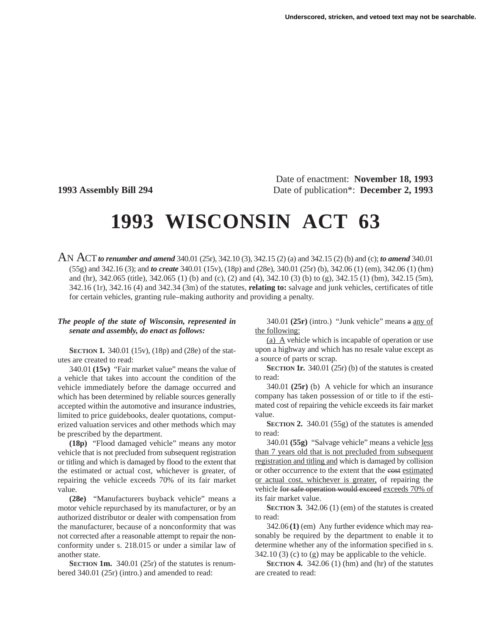Date of enactment: **November 18, 1993 1993 Assembly Bill 294** Date of publication\*: **December 2, 1993**

## **1993 WISCONSIN ACT 63**

AN ACT*to renumber and amend* 340.01 (25r), 342.10 (3), 342.15 (2) (a) and 342.15 (2) (b) and (c); *to amend* 340.01 (55g) and 342.16 (3); and *to create* 340.01 (15v), (18p) and (28e), 340.01 (25r) (b), 342.06 (1) (em), 342.06 (1) (hm) and (hr), 342.065 (title), 342.065 (1) (b) and (c), (2) and (4), 342.10 (3) (b) to (g), 342.15 (1) (bm), 342.15 (5m), 342.16 (1r), 342.16 (4) and 342.34 (3m) of the statutes, **relating to:** salvage and junk vehicles, certificates of title for certain vehicles, granting rule–making authority and providing a penalty.

## *The people of the state of Wisconsin, represented in senate and assembly, do enact as follows:*

**SECTION 1.** 340.01 (15v), (18p) and (28e) of the statutes are created to read:

340.01 **(15v)** "Fair market value" means the value of a vehicle that takes into account the condition of the vehicle immediately before the damage occurred and which has been determined by reliable sources generally accepted within the automotive and insurance industries, limited to price guidebooks, dealer quotations, computerized valuation services and other methods which may be prescribed by the department.

**(18p)** "Flood damaged vehicle" means any motor vehicle that is not precluded from subsequent registration or titling and which is damaged by flood to the extent that the estimated or actual cost, whichever is greater, of repairing the vehicle exceeds 70% of its fair market value.

**(28e)** "Manufacturers buyback vehicle" means a motor vehicle repurchased by its manufacturer, or by an authorized distributor or dealer with compensation from the manufacturer, because of a nonconformity that was not corrected after a reasonable attempt to repair the nonconformity under s. 218.015 or under a similar law of another state.

**SECTION 1m.** 340.01 (25r) of the statutes is renumbered 340.01 (25r) (intro.) and amended to read:

340.01 **(25r)** (intro.) "Junk vehicle" means a any of the following:

(a) A vehicle which is incapable of operation or use upon a highway and which has no resale value except as a source of parts or scrap.

**SECTION 1r.** 340.01 (25r) (b) of the statutes is created to read:

340.01 **(25r)** (b) A vehicle for which an insurance company has taken possession of or title to if the estimated cost of repairing the vehicle exceeds its fair market value.

**SECTION 2.** 340.01 (55g) of the statutes is amended to read:

340.01 **(55g)** "Salvage vehicle" means a vehicle less than 7 years old that is not precluded from subsequent registration and titling and which is damaged by collision or other occurrence to the extent that the cost estimated or actual cost, whichever is greater, of repairing the vehicle for safe operation would exceed exceeds 70% of its fair market value.

**SECTION 3.** 342.06 (1) (em) of the statutes is created to read:

342.06 **(1)** (em) Any further evidence which may reasonably be required by the department to enable it to determine whether any of the information specified in s.  $342.10(3)$  (c) to (g) may be applicable to the vehicle.

**SECTION 4.** 342.06 (1) (hm) and (hr) of the statutes are created to read: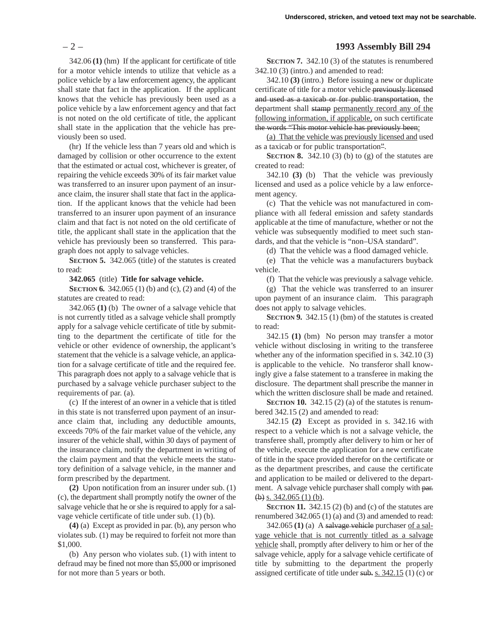342.06 **(1)** (hm) If the applicant for certificate of title for a motor vehicle intends to utilize that vehicle as a police vehicle by a law enforcement agency, the applicant shall state that fact in the application. If the applicant knows that the vehicle has previously been used as a police vehicle by a law enforcement agency and that fact is not noted on the old certificate of title, the applicant shall state in the application that the vehicle has previously been so used.

(hr) If the vehicle less than 7 years old and which is damaged by collision or other occurrence to the extent that the estimated or actual cost, whichever is greater, of repairing the vehicle exceeds 30% of its fair market value was transferred to an insurer upon payment of an insurance claim, the insurer shall state that fact in the application. If the applicant knows that the vehicle had been transferred to an insurer upon payment of an insurance claim and that fact is not noted on the old certificate of title, the applicant shall state in the application that the vehicle has previously been so transferred. This paragraph does not apply to salvage vehicles.

**SECTION 5.** 342.065 (title) of the statutes is created to read:

**342.065** (title) **Title for salvage vehicle.**

**SECTION 6.** 342.065 (1) (b) and (c), (2) and (4) of the statutes are created to read:

342.065 **(1)** (b) The owner of a salvage vehicle that is not currently titled as a salvage vehicle shall promptly apply for a salvage vehicle certificate of title by submitting to the department the certificate of title for the vehicle or other evidence of ownership, the applicant's statement that the vehicle is a salvage vehicle, an application for a salvage certificate of title and the required fee. This paragraph does not apply to a salvage vehicle that is purchased by a salvage vehicle purchaser subject to the requirements of par. (a).

(c) If the interest of an owner in a vehicle that is titled in this state is not transferred upon payment of an insurance claim that, including any deductible amounts, exceeds 70% of the fair market value of the vehicle, any insurer of the vehicle shall, within 30 days of payment of the insurance claim, notify the department in writing of the claim payment and that the vehicle meets the statutory definition of a salvage vehicle, in the manner and form prescribed by the department.

**(2)** Upon notification from an insurer under sub. (1) (c), the department shall promptly notify the owner of the salvage vehicle that he or she is required to apply for a salvage vehicle certificate of title under sub. (1) (b).

**(4)** (a) Except as provided in par. (b), any person who violates sub. (1) may be required to forfeit not more than \$1,000.

(b) Any person who violates sub. (1) with intent to defraud may be fined not more than \$5,000 or imprisoned for not more than 5 years or both.

## – 2 – **1993 Assembly Bill 294**

**SECTION 7.** 342.10 (3) of the statutes is renumbered 342.10 (3) (intro.) and amended to read:

342.10 **(3)** (intro.) Before issuing a new or duplicate certificate of title for a motor vehicle previously licensed and used as a taxicab or for public transportation, the department shall stamp permanently record any of the following information, if applicable, on such certificate the words "This motor vehicle has previously been:

(a) That the vehicle was previously licensed and used as a taxicab or for public transportation".

**SECTION 8.** 342.10 (3) (b) to (g) of the statutes are created to read:

342.10 **(3)** (b) That the vehicle was previously licensed and used as a police vehicle by a law enforcement agency.

(c) That the vehicle was not manufactured in compliance with all federal emission and safety standards applicable at the time of manufacture, whether or not the vehicle was subsequently modified to meet such standards, and that the vehicle is "non–USA standard".

(d) That the vehicle was a flood damaged vehicle.

(e) That the vehicle was a manufacturers buyback vehicle.

(f) That the vehicle was previously a salvage vehicle.

(g) That the vehicle was transferred to an insurer upon payment of an insurance claim. This paragraph does not apply to salvage vehicles.

**SECTION 9.** 342.15 (1) (bm) of the statutes is created to read:

342.15 **(1)** (bm) No person may transfer a motor vehicle without disclosing in writing to the transferee whether any of the information specified in s. 342.10 (3) is applicable to the vehicle. No transferor shall knowingly give a false statement to a transferee in making the disclosure. The department shall prescribe the manner in which the written disclosure shall be made and retained.

**SECTION 10.** 342.15 (2) (a) of the statutes is renumbered 342.15 (2) and amended to read:

342.15 **(2)** Except as provided in s. 342.16 with respect to a vehicle which is not a salvage vehicle, the transferee shall, promptly after delivery to him or her of the vehicle, execute the application for a new certificate of title in the space provided therefor on the certificate or as the department prescribes, and cause the certificate and application to be mailed or delivered to the department. A salvage vehicle purchaser shall comply with par.  $(b)$  s. 342.065 (1) (b).

**SECTION 11.** 342.15 (2) (b) and (c) of the statutes are renumbered 342.065 (1) (a) and (3) and amended to read:

342.065 **(1)** (a) A salvage vehicle purchaser of a salvage vehicle that is not currently titled as a salvage vehicle shall, promptly after delivery to him or her of the salvage vehicle, apply for a salvage vehicle certificate of title by submitting to the department the properly assigned certificate of title under  $sub. s. 342.15(1)(c)$  or